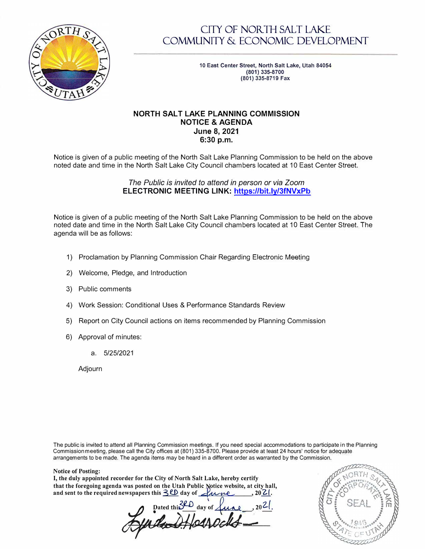<span id="page-0-0"></span>

# CITY OF NORTH SALT LAKE COMMUNITY & ECONOMIC DEVELOPMENT

**10 East Center Street, North Salt Lake, Utah 84054 (801) 335-8700 (801) 335-8719 Fax**

### **NORTH SALT LAKE PLANNING COMMISSION NOTICE & AGENDA June 8, 2021 6:30 p.m.**

Notice is given of a public meeting of the North Salt Lake Planning Commission to be held on the above noted date and time in the North Salt Lake City Council chambers located at 10 East Center Street.

### *The Public is invited to attend in person or via Zoom*  **ELECTRONIC MEETING LINK: <https://bit.ly/3fNVxPb>**

<span id="page-0-1"></span>Notice is given of a public meeting of the North Salt Lake Planning Commission to be held on the above noted date and time in the North Salt Lake City Council chambers located at 1 O East Center Street. The agenda will be as follows:

- 1) Proclamation by Planning Commission Chair Regarding Electronic Meeting
- 2) Welcome, Pledge, and Introduction
- 3) Public comments
- 4) Work Session: Conditional Uses & Performance Standards Review
- 5) Report on City Council actions on items recommended by Planning Commission
- 6) Approval of minutes:
	- a. 5/25/2021

Adjourn

**Notice of Posting:** 

The public is invited to attend all Planning Commission meetings. If you need special accommodations to participate in the Planning Commission meeting, please call the City offices at (801) 335-8700. Please provide at least 24 hours' notice for adequate arrangements to be made. The agenda items may be heard in a different order as warranted by the Commission.

**I, the duly appointed recorder for the City of North Salt Lake, hereby certify**  that the foregoing agenda was posted on the Utah Public Notice website, at city hall, and sent to the required newspapers this  $\exists$  **CD** day of  $\angle\text{true}$ , 2021. rder for the City of North Salt Lake, hereby certify<br>was posted on the Utah Public Notice website, at ci<br>ewspapers this <u>3CD</u> day of <u>June</u>, 2<br>pated this 3CD day of June, 2<br>and 2<br>**Apple the CHADCHA**  $,20$ <sup>2</sup>

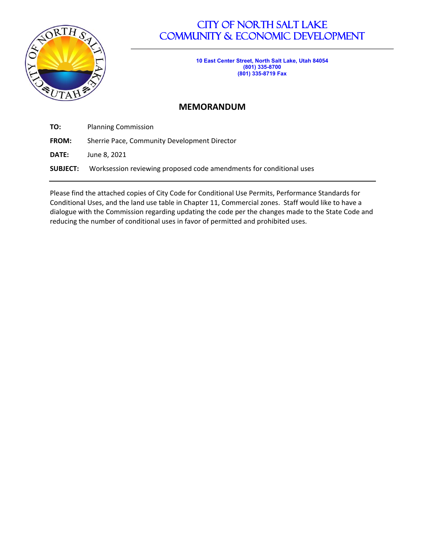

# CITY OF NORTH SALT LAKE COMMUNITY & ECONOMIC DEVELOPMENT

**10 East Center Street, North Salt Lake, Utah 84054 (801) 335-8700 (801) 335-8719 Fax**

## **MEMORANDUM**

**TO:** Planning Commission

**FROM:** Sherrie Pace, Community Development Director

**DATE:** June 8, 2021

**SUBJECT:** Worksession reviewing proposed code amendments for conditional uses

Please find the attached copies of City Code for Conditional Use Permits, Performance Standards for Conditional Uses, and the land use table in Chapter 11, Commercial zones. Staff would like to have a dialogue with the Commission regarding updating the code per the changes made to the State Code and reducing the number of conditional uses in favor of permitted and prohibited uses.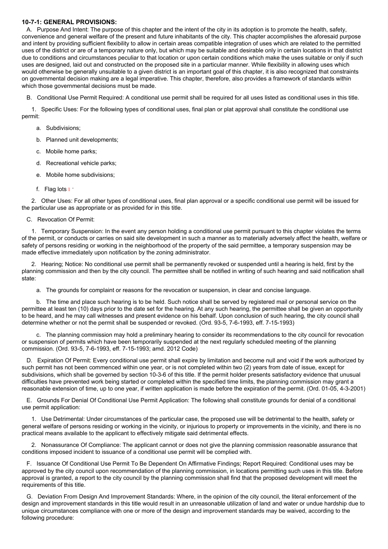#### **10-7-1: GENERAL PROVISIONS:**

A. Purpose And Intent: The purpose of this chapter and the intent of the city in its adoption is to promote the health, safety, convenience and general welfare of the present and future inhabitants of the city. This chapter accomplishes the aforesaid purpose and intent by providing sufficient flexibility to allow in certain areas compatible integration of uses which are related to the permitted uses of the district or are of a temporary nature only, but which may be suitable and desirable only in certain locations in that district due to conditions and circumstances peculiar to that location or upon certain conditions which make the uses suitable or only if such uses are designed, laid out and constructed on the proposed site in a particular manner. While flexibility in allowing uses which would otherwise be generally unsuitable to a given district is an important goal of this chapter, it is also recognized that constraints on governmental decision making are a legal imperative. This chapter, therefore, also provides a framework of standards within which those governmental decisions must be made.

B. Conditional Use Permit Required: A conditional use permit shall be required for all uses listed as conditional uses in this title.

1. Specific Uses: For the following types of conditional uses, final plan or plat approval shall constitute the conditional use permit:

#### a. Subdivisions;

- b. Planned unit developments;
- c. Mobile home parks;
- d. Recreational vehicle parks;
- e. Mobile home subdivisions;
- f. Flag lots  $1 +$  $1 +$

2. Other Uses: For all other types of conditional uses, final plan approval or a specific conditional use permit will be issued for the particular use as appropriate or as provided for in this title.

#### C. Revocation Of Permit:

1. Temporary Suspension: In the event any person holding a conditional use permit pursuant to this chapter violates the terms of the permit, or conducts or carries on said site development in such a manner as to materially adversely affect the health, welfare or safety of persons residing or working in the neighborhood of the property of the said permittee, a temporary suspension may be made effective immediately upon notification by the zoning administrator.

2. Hearing; Notice: No conditional use permit shall be permanently revoked or suspended until a hearing is held, first by the planning commission and then by the city council. The permittee shall be notified in writing of such hearing and said notification shall state:

a. The grounds for complaint or reasons for the revocation or suspension, in clear and concise language.

b. The time and place such hearing is to be held. Such notice shall be served by registered mail or personal service on the permittee at least ten (10) days prior to the date set for the hearing. At any such hearing, the permittee shall be given an opportunity to be heard, and he may call witnesses and present evidence on his behalf. Upon conclusion of such hearing, the city council shall determine whether or not the permit shall be suspended or revoked. (Ord. 93-5, 7-6-1993, eff. 7-15-1993)

c. The planning commission may hold a preliminary hearing to consider its recommendations to the city council for revocation or suspension of permits which have been temporarily suspended at the next regularly scheduled meeting of the planning commission. (Ord. 93-5, 7-6-1993, eff. 7-15-1993; amd. 2012 Code)

D. Expiration Of Permit: Every conditional use permit shall expire by limitation and become null and void if the work authorized by such permit has not been commenced within one year, or is not completed within two (2) years from date of issue, except for subdivisions, which shall be governed by section 10-3-6 of this title. If the permit holder presents satisfactory evidence that unusual difficulties have prevented work being started or completed within the specified time limits, the planning commission may grant a reasonable extension of time, up to one year, if written application is made before the expiration of the permit. (Ord. 01-05, 4-3-2001)

E. Grounds For Denial Of Conditional Use Permit Application: The following shall constitute grounds for denial of a conditional use permit application:

1. Use Detrimental: Under circumstances of the particular case, the proposed use will be detrimental to the health, safety or general welfare of persons residing or working in the vicinity, or injurious to property or improvements in the vicinity, and there is no practical means available to the applicant to effectively mitigate said detrimental effects.

2. Nonassurance Of Compliance: The applicant cannot or does not give the planning commission reasonable assurance that conditions imposed incident to issuance of a conditional use permit will be complied with.

F. Issuance Of Conditional Use Permit To Be Dependent On Affirmative Findings; Report Required: Conditional uses may be approved by the city council upon recommendation of the planning commission, in locations permitting such uses in this title. Before approval is granted, a report to the city council by the planning commission shall find that the proposed development will meet the requirements of this title.

G. Deviation From Design And Improvement Standards: Where, in the opinion of the city council, the literal enforcement of the design and improvement standards in this title would result in an unreasonable utilization of land and water or undue hardship due to unique circumstances compliance with one or more of the design and improvement standards may be waived, according to the following procedure: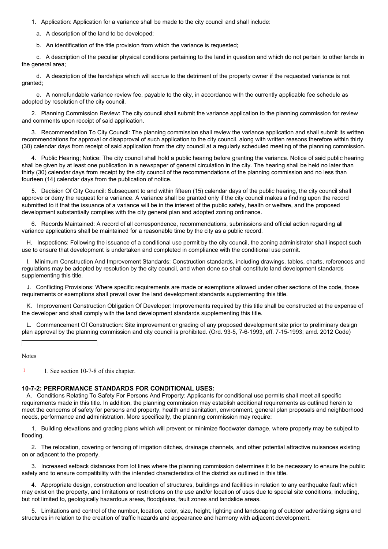1. Application: Application for a variance shall be made to the city council and shall include:

- a. A description of the land to be developed;
- b. An identification of the title provision from which the variance is requested;

c. A description of the peculiar physical conditions pertaining to the land in question and which do not pertain to other lands in the general area;

d. A description of the hardships which will accrue to the detriment of the property owner if the requested variance is not granted;

e. A nonrefundable variance review fee, payable to the city, in accordance with the currently applicable fee schedule as adopted by resolution of the city council.

2. Planning Commission Review: The city council shall submit the variance application to the planning commission for review and comments upon receipt of said application.

3. Recommendation To City Council: The planning commission shall review the variance application and shall submit its written recommendations for approval or disapproval of such application to the city council, along with written reasons therefore within thirty (30) calendar days from receipt of said application from the city council at a regularly scheduled meeting of the planning commission.

4. Public Hearing; Notice: The city council shall hold a public hearing before granting the variance. Notice of said public hearing shall be given by at least one publication in a newspaper of general circulation in the city. The hearing shall be held no later than thirty (30) calendar days from receipt by the city council of the recommendations of the planning commission and no less than fourteen (14) calendar days from the publication of notice.

5. Decision Of City Council: Subsequent to and within fifteen (15) calendar days of the public hearing, the city council shall approve or deny the request for a variance. A variance shall be granted only if the city council makes a finding upon the record submitted to it that the issuance of a variance will be in the interest of the public safety, health or welfare, and the proposed development substantially complies with the city general plan and adopted zoning ordinance.

6. Records Maintained: A record of all correspondence, recommendations, submissions and official action regarding all variance applications shall be maintained for a reasonable time by the city as a public record.

H. Inspections: Following the issuance of a conditional use permit by the city council, the zoning administrator shall inspect such use to ensure that development is undertaken and completed in compliance with the conditional use permit.

I. Minimum Construction And Improvement Standards: Construction standards, including drawings, tables, charts, references and regulations may be adopted by resolution by the city council, and when done so shall constitute land development standards supplementing this title.

J. Conflicting Provisions: Where specific requirements are made or exemptions allowed under other sections of the code, those requirements or exemptions shall prevail over the land development standards supplementing this title.

K. Improvement Construction Obligation Of Developer: Improvements required by this title shall be constructed at the expense of the developer and shall comply with the land development standards supplementing this title.

L. Commencement Of Construction: Site improvement or grading of any proposed development site prior to preliminary design plan approval by the planning commission and city council is prohibited. (Ord. 93-5, 7-6-1993, eff. 7-15-1993; amd. 2012 Code)

Notes

[1](#page-0-1) 1. See section 10-7-8 of this chapter.

#### **10-7-2: PERFORMANCE STANDARDS FOR CONDITIONAL USES:**

A. Conditions Relating To Safety For Persons And Property: Applicants for conditional use permits shall meet all specific requirements made in this title. In addition, the planning commission may establish additional requirements as outlined herein to meet the concerns of safety for persons and property, health and sanitation, environment, general plan proposals and neighborhood needs, performance and administration. More specifically, the planning commission may require:

1. Building elevations and grading plans which will prevent or minimize floodwater damage, where property may be subject to flooding.

2. The relocation, covering or fencing of irrigation ditches, drainage channels, and other potential attractive nuisances existing on or adjacent to the property.

3. Increased setback distances from lot lines where the planning commission determines it to be necessary to ensure the public safety and to ensure compatibility with the intended characteristics of the district as outlined in this title.

4. Appropriate design, construction and location of structures, buildings and facilities in relation to any earthquake fault which may exist on the property, and limitations or restrictions on the use and/or location of uses due to special site conditions, including, but not limited to, geologically hazardous areas, floodplains, fault zones and landslide areas.

5. Limitations and control of the number, location, color, size, height, lighting and landscaping of outdoor advertising signs and structures in relation to the creation of traffic hazards and appearance and harmony with adjacent development.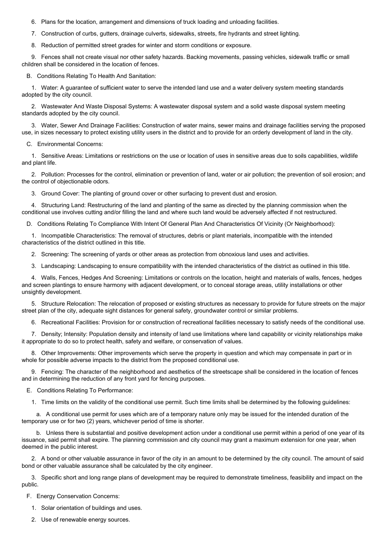6. Plans for the location, arrangement and dimensions of truck loading and unloading facilities.

7. Construction of curbs, gutters, drainage culverts, sidewalks, streets, fire hydrants and street lighting.

8. Reduction of permitted street grades for winter and storm conditions or exposure.

9. Fences shall not create visual nor other safety hazards. Backing movements, passing vehicles, sidewalk traffic or small children shall be considered in the location of fences.

B. Conditions Relating To Health And Sanitation:

1. Water: A guarantee of sufficient water to serve the intended land use and a water delivery system meeting standards adopted by the city council.

2. Wastewater And Waste Disposal Systems: A wastewater disposal system and a solid waste disposal system meeting standards adopted by the city council.

3. Water, Sewer And Drainage Facilities: Construction of water mains, sewer mains and drainage facilities serving the proposed use, in sizes necessary to protect existing utility users in the district and to provide for an orderly development of land in the city.

C. Environmental Concerns:

1. Sensitive Areas: Limitations or restrictions on the use or location of uses in sensitive areas due to soils capabilities, wildlife and plant life.

2. Pollution: Processes for the control, elimination or prevention of land, water or air pollution; the prevention of soil erosion; and the control of objectionable odors.

3. Ground Cover: The planting of ground cover or other surfacing to prevent dust and erosion.

4. Structuring Land: Restructuring of the land and planting of the same as directed by the planning commission when the conditional use involves cutting and/or filling the land and where such land would be adversely affected if not restructured.

D. Conditions Relating To Compliance With Intent Of General Plan And Characteristics Of Vicinity (Or Neighborhood):

1. Incompatible Characteristics: The removal of structures, debris or plant materials, incompatible with the intended characteristics of the district outlined in this title.

2. Screening: The screening of yards or other areas as protection from obnoxious land uses and activities.

3. Landscaping: Landscaping to ensure compatibility with the intended characteristics of the district as outlined in this title.

4. Walls, Fences, Hedges And Screening: Limitations or controls on the location, height and materials of walls, fences, hedges and screen plantings to ensure harmony with adjacent development, or to conceal storage areas, utility installations or other unsightly development.

5. Structure Relocation: The relocation of proposed or existing structures as necessary to provide for future streets on the major street plan of the city, adequate sight distances for general safety, groundwater control or similar problems.

6. Recreational Facilities: Provision for or construction of recreational facilities necessary to satisfy needs of the conditional use.

7. Density; Intensity: Population density and intensity of land use limitations where land capability or vicinity relationships make it appropriate to do so to protect health, safety and welfare, or conservation of values.

8. Other Improvements: Other improvements which serve the property in question and which may compensate in part or in whole for possible adverse impacts to the district from the proposed conditional use.

9. Fencing: The character of the neighborhood and aesthetics of the streetscape shall be considered in the location of fences and in determining the reduction of any front yard for fencing purposes.

E. Conditions Relating To Performance:

1. Time limits on the validity of the conditional use permit. Such time limits shall be determined by the following guidelines:

a. A conditional use permit for uses which are of a temporary nature only may be issued for the intended duration of the temporary use or for two (2) years, whichever period of time is shorter.

b. Unless there is substantial and positive development action under a conditional use permit within a period of one year of its issuance, said permit shall expire. The planning commission and city council may grant a maximum extension for one year, when deemed in the public interest.

2. A bond or other valuable assurance in favor of the city in an amount to be determined by the city council. The amount of said bond or other valuable assurance shall be calculated by the city engineer.

3. Specific short and long range plans of development may be required to demonstrate timeliness, feasibility and impact on the public.

F. Energy Conservation Concerns:

- 1. Solar orientation of buildings and uses.
- 2. Use of renewable energy sources.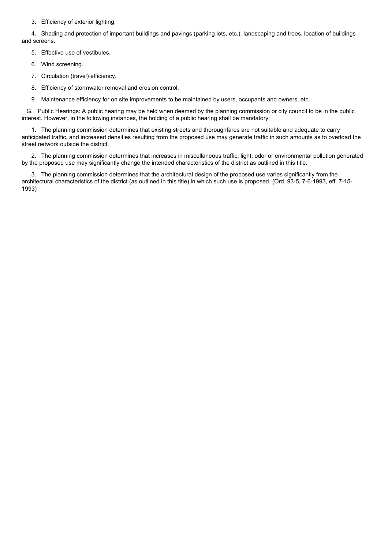3. Efficiency of exterior lighting.

4. Shading and protection of important buildings and pavings (parking lots, etc.), landscaping and trees, location of buildings and screens.

5. Effective use of vestibules.

- 6. Wind screening.
- 7. Circulation (travel) efficiency.
- 8. Efficiency of stormwater removal and erosion control.
- 9. Maintenance efficiency for on site improvements to be maintained by users, occupants and owners, etc.

G. Public Hearings: A public hearing may be held when deemed by the planning commission or city council to be in the public interest. However, in the following instances, the holding of a public hearing shall be mandatory:

1. The planning commission determines that existing streets and thoroughfares are not suitable and adequate to carry anticipated traffic, and increased densities resulting from the proposed use may generate traffic in such amounts as to overload the street network outside the district.

2. The planning commission determines that increases in miscellaneous traffic, light, odor or environmental pollution generated by the proposed use may significantly change the intended characteristics of the district as outlined in this title.

3. The planning commission determines that the architectural design of the proposed use varies significantly from the architectural characteristics of the district (as outlined in this title) in which such use is proposed. (Ord. 93-5, 7-6-1993, eff. 7-15- 1993)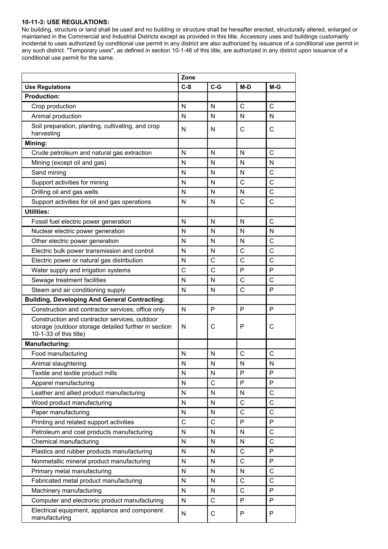#### **10-11-3: USE REGULATIONS:**

No building, structure or land shall be used and no building or structure shall be hereafter erected, structurally altered, enlarged or maintained in the Commercial and Industrial Districts except as provided in this title. Accessory uses and buildings customarily incidental to uses authorized by conditional use permit in any district are also authorized by issuance of a conditional use permit in any such district. "Temporary uses", as defined in section 10-1-46 of this title, are authorized in any district upon issuance of a conditional use permit for the same.

|                                                                                                                                 | Zone        |                |              |              |
|---------------------------------------------------------------------------------------------------------------------------------|-------------|----------------|--------------|--------------|
| <b>Use Regulations</b>                                                                                                          | $C-S$       | $C-G$          | $M-D$        | M-G          |
| <b>Production:</b>                                                                                                              |             |                |              |              |
| Crop production                                                                                                                 | N           | N              | $\mathbf C$  | $\mathsf{C}$ |
| Animal production                                                                                                               | N           | N              | N            | N            |
| Soil preparation, planting, cultivating, and crop                                                                               | N           | N              | $\mathsf{C}$ | $\mathsf{C}$ |
| harvesting                                                                                                                      |             |                |              |              |
| Mining:                                                                                                                         |             |                |              |              |
| Crude petroleum and natural gas extraction                                                                                      | N           | N              | N            | $\mathsf{C}$ |
| Mining (except oil and gas)                                                                                                     | N           | N              | N            | N            |
| Sand mining                                                                                                                     | N           | N              | N            | $\mathsf{C}$ |
| Support activities for mining                                                                                                   | N           | N              | $\mathsf{C}$ | $\mathsf{C}$ |
| Drilling oil and gas wells                                                                                                      | N           | N              | N            | $\mathsf{C}$ |
| Support activities for oil and gas operations                                                                                   | N           | N              | C            | $\mathsf{C}$ |
| <b>Utilities:</b>                                                                                                               |             |                |              |              |
| Fossil fuel electric power generation                                                                                           | N           | N              | N            | $\mathsf{C}$ |
| Nuclear electric power generation                                                                                               | N           | N              | N            | N            |
| Other electric power generation                                                                                                 | N           | N              | N            | $\mathsf{C}$ |
| Electric bulk power transmission and control                                                                                    | N           | N              | $\mathsf{C}$ | $\mathsf{C}$ |
| Electric power or natural gas distribution                                                                                      | N           | C              | $\mathsf{C}$ | $\mathsf{C}$ |
| Water supply and irrigation systems                                                                                             | C           | $\overline{C}$ | P            | P            |
| Sewage treatment facilities                                                                                                     | N           | N              | $\mathsf{C}$ | $\mathsf{C}$ |
| Steam and air conditioning supply                                                                                               | N           | N              | $\mathsf{C}$ | P            |
| <b>Building, Developing And General Contracting:</b>                                                                            |             |                |              |              |
| Construction and contractor services, office only                                                                               |             | P              | P            | P            |
| Construction and contractor services, outdoor<br>storage (outdoor storage detailed further in section<br>10-1-33 of this title) | N           | С              | P            | C            |
| <b>Manufacturing:</b>                                                                                                           |             |                |              |              |
| Food manufacturing                                                                                                              | N           | N              | C            | C            |
| Animal slaughtering                                                                                                             | N           | N              | N            | N            |
| Textile and textile product mills                                                                                               | N           | N              | P            | P            |
| Apparel manufacturing                                                                                                           | N           | $\mathsf{C}$   | P            | P            |
| Leather and allied product manufacturing                                                                                        | N           | N              | N            | C            |
| Wood product manufacturing                                                                                                      | N           | N              | $\mathsf{C}$ | $\mathsf{C}$ |
| Paper manufacturing                                                                                                             | N           | N              | $\mathsf{C}$ | $\mathsf{C}$ |
| Printing and related support activities                                                                                         | $\mathsf C$ | $\mathsf{C}$   | P            | $\mathsf{P}$ |
| Petroleum and coal products manufacturing                                                                                       | N           | N              | N            | $\mathsf{C}$ |
| Chemical manufacturing                                                                                                          | N           | N              | N            | $\mathsf{C}$ |
| Plastics and rubber products manufacturing                                                                                      | N           | N              | $\mathsf{C}$ | P            |
| Nonmetallic mineral product manufacturing                                                                                       | N           | N              | $\mathsf{C}$ | P            |
| Primary metal manufacturing                                                                                                     | N           | N              | N            | C            |
| Fabricated metal product manufacturing                                                                                          | N           | N              | $\mathsf{C}$ | $\mathsf{C}$ |
| Machinery manufacturing                                                                                                         | N           | N              | $\mathsf{C}$ | P            |
| Computer and electronic product manufacturing                                                                                   | N           | $\mathsf{C}$   | P            | P            |
| Electrical equipment, appliance and component<br>manufacturing                                                                  | N           | С              | P            | P            |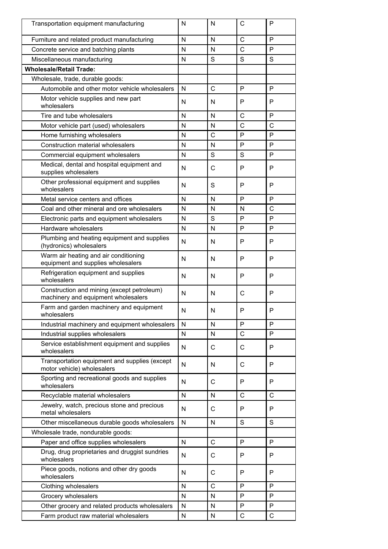| Transportation equipment manufacturing                                            | N            | N            | C            | P            |
|-----------------------------------------------------------------------------------|--------------|--------------|--------------|--------------|
| Furniture and related product manufacturing                                       | N            | N            | $\mathsf{C}$ | P            |
| Concrete service and batching plants                                              | N            | N            | $\mathsf{C}$ | P            |
| Miscellaneous manufacturing                                                       | N            | S            | S            | S            |
| <b>Wholesale/Retail Trade:</b>                                                    |              |              |              |              |
| Wholesale, trade, durable goods:                                                  |              |              |              |              |
| Automobile and other motor vehicle wholesalers                                    | N            | C            | P            | P            |
| Motor vehicle supplies and new part<br>wholesalers                                | N            | N            | P            | P            |
| Tire and tube wholesalers                                                         | N            | N            | $\mathsf{C}$ | P            |
| Motor vehicle part (used) wholesalers                                             | N            | N            | $\mathsf{C}$ | $\mathsf{C}$ |
| Home furnishing wholesalers                                                       | N            | $\mathsf{C}$ | P            | P            |
| <b>Construction material wholesalers</b>                                          | N            | N            | P            | P            |
| Commercial equipment wholesalers                                                  | N            | S            | S            | P            |
| Medical, dental and hospital equipment and<br>supplies wholesalers                | N            | C            | P            | P            |
| Other professional equipment and supplies<br>wholesalers                          | N            | S            | P            | P            |
| Metal service centers and offices                                                 | N            | N            | P            | P            |
| Coal and other mineral and ore wholesalers                                        | N            | N            | N            | C            |
| Electronic parts and equipment wholesalers                                        | N            | S            | P            | P            |
| Hardware wholesalers                                                              | N            | N            | P            | P            |
| Plumbing and heating equipment and supplies<br>(hydronics) wholesalers            | N            | N            | P            | P            |
| Warm air heating and air conditioning<br>equipment and supplies wholesalers       | N            | N            | P            | P            |
| Refrigeration equipment and supplies<br>wholesalers                               | N            | N            | P            | P            |
| Construction and mining (except petroleum)<br>machinery and equipment wholesalers | N            | N            | C            | P            |
| Farm and garden machinery and equipment<br>wholesalers                            | N            | N            | P            | P            |
| Industrial machinery and equipment wholesalers                                    | N            | N            | P            | P            |
| Industrial supplies wholesalers                                                   | N            | N            | $\mathsf{C}$ | P            |
| Service establishment equipment and supplies<br>wholesalers                       | N            | С            | C            | P            |
| Transportation equipment and supplies (except<br>motor vehicle) wholesalers       | N            | N            | C            | P            |
| Sporting and recreational goods and supplies<br>wholesalers                       | N            | $\mathsf{C}$ | P            | P            |
| Recyclable material wholesalers                                                   | $\mathsf{N}$ | N            | $\mathsf{C}$ | $\mathsf{C}$ |
| Jewelry, watch, precious stone and precious<br>metal wholesalers                  | N            | C            | P            | P            |
| Other miscellaneous durable goods wholesalers                                     | $\mathsf{N}$ | N            | S            | S            |
| Wholesale trade, nondurable goods:                                                |              |              |              |              |
| Paper and office supplies wholesalers                                             | $\mathsf{N}$ | $\mathsf{C}$ | P            | P            |
| Drug, drug proprietaries and druggist sundries<br>wholesalers                     | N            | C            | P            | P            |
| Piece goods, notions and other dry goods<br>wholesalers                           | N            | C            | P            | P            |
| Clothing wholesalers                                                              | N            | $\mathsf{C}$ | P            | P            |
| Grocery wholesalers                                                               | N            | N            | P            | P            |
| Other grocery and related products wholesalers                                    | N            | N            | P            | P            |
| Farm product raw material wholesalers                                             | N            | N            | C            | C            |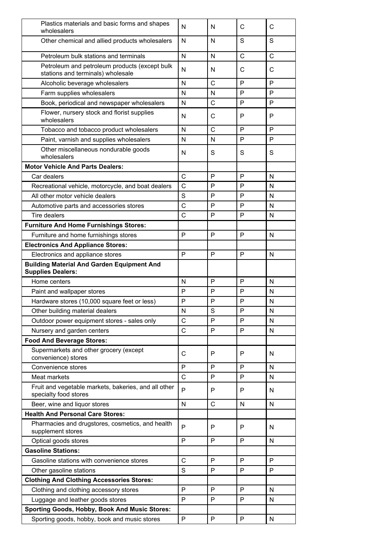| Plastics materials and basic forms and shapes<br>wholesalers                       | N            | N            | C            | C            |
|------------------------------------------------------------------------------------|--------------|--------------|--------------|--------------|
| Other chemical and allied products wholesalers                                     | N            | N            | S            | S            |
| Petroleum bulk stations and terminals                                              | N            | N            | C            | $\mathsf{C}$ |
| Petroleum and petroleum products (except bulk<br>stations and terminals) wholesale | N            | N            | С            | C            |
| Alcoholic beverage wholesalers                                                     | N            | $\mathsf{C}$ | P            | P            |
| Farm supplies wholesalers                                                          | N            | N            | P            | P            |
| Book, periodical and newspaper wholesalers                                         | $\mathsf{N}$ | $\mathsf{C}$ | P            | P            |
| Flower, nursery stock and florist supplies<br>wholesalers                          | N            | C            | P            | P            |
| Tobacco and tobacco product wholesalers                                            | N            | C            | P            | P            |
| Paint, varnish and supplies wholesalers                                            | N            | N            | P            | P            |
| Other miscellaneous nondurable goods<br>wholesalers                                | N            | S            | S            | S            |
| <b>Motor Vehicle And Parts Dealers:</b>                                            |              |              |              |              |
| Car dealers                                                                        | $\mathsf{C}$ | P            | P            | N            |
| Recreational vehicle, motorcycle, and boat dealers                                 | $\mathsf{C}$ | P            | P            | $\mathsf{N}$ |
| All other motor vehicle dealers                                                    | S            | P            | P            | N            |
| Automotive parts and accessories stores                                            | $\mathsf{C}$ | P            | P            | N            |
| <b>Tire dealers</b>                                                                | C            | P            | P            | N            |
| <b>Furniture And Home Furnishings Stores:</b>                                      |              |              |              |              |
| Furniture and home furnishings stores                                              | P            | P            | P            | N            |
| <b>Electronics And Appliance Stores:</b>                                           |              |              |              |              |
| Electronics and appliance stores                                                   | P            | P            | P            | N            |
| <b>Building Material And Garden Equipment And</b><br><b>Supplies Dealers:</b>      |              |              |              |              |
| Home centers                                                                       | N            | P            | P            | N            |
| Paint and wallpaper stores                                                         | P            | P            | P            | N            |
| Hardware stores (10,000 square feet or less)                                       | P            | P            | P            | N            |
| Other building material dealers                                                    | ${\sf N}$    | S            | P            | ${\sf N}$    |
| Outdoor power equipment stores - sales only                                        | $\mathsf{C}$ | P            | P            | N            |
| Nursery and garden centers                                                         | $\mathsf{C}$ | P            | P            | $\mathsf{N}$ |
| <b>Food And Beverage Stores:</b>                                                   |              |              |              |              |
| Supermarkets and other grocery (except<br>convenience) stores                      | $\mathbf C$  | P            | P            | N            |
| Convenience stores                                                                 | P            | P            | P            | N            |
| Meat markets                                                                       | $\mathsf{C}$ | P            | P            | N            |
| Fruit and vegetable markets, bakeries, and all other<br>specialty food stores      | P            | P            | P            | N            |
| Beer, wine and liquor stores                                                       | N            | C            | N            | $\mathsf{N}$ |
| <b>Health And Personal Care Stores:</b>                                            |              |              |              |              |
| Pharmacies and drugstores, cosmetics, and health<br>supplement stores              | P            | P            | P            | N            |
| Optical goods stores                                                               | P            | P            | P            | N            |
| <b>Gasoline Stations:</b>                                                          |              |              |              |              |
| Gasoline stations with convenience stores                                          | $\mathsf C$  | P            | P            | P            |
| Other gasoline stations                                                            | S            | P            | P            | P            |
| <b>Clothing And Clothing Accessories Stores:</b>                                   |              |              |              |              |
| Clothing and clothing accessory stores                                             | P            | P            | P            | N            |
| Luggage and leather goods stores                                                   | P            | P            | P            | N            |
| <b>Sporting Goods, Hobby, Book And Music Stores:</b>                               |              |              |              |              |
| Sporting goods, hobby, book and music stores                                       | $\mathsf{P}$ | $\mathsf{P}$ | $\mathsf{P}$ | ${\sf N}$    |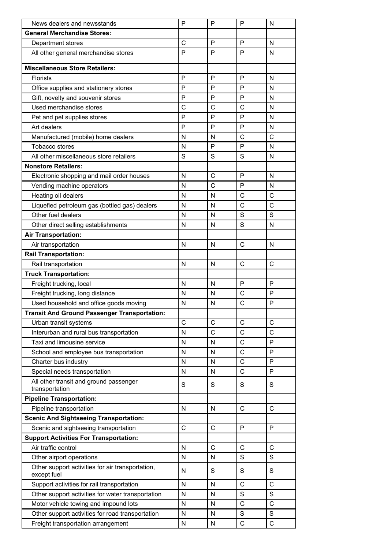| <b>General Merchandise Stores:</b><br>P<br>P<br>С<br>Department stores<br>N<br>P<br>P<br>P<br>N<br>All other general merchandise stores<br><b>Miscellaneous Store Retailers:</b><br>P<br>P<br>P<br>Florists<br>N<br>P<br>P<br>P<br>N<br>Office supplies and stationery stores<br>Gift, novelty and souvenir stores<br>Р<br>P<br>Ρ<br>N<br>Used merchandise stores<br>C<br>C<br>C<br>N<br>Р<br>P<br>Р<br>Pet and pet supplies stores<br>N<br>P<br>P<br>P<br>Art dealers<br>N<br>С<br>С<br>N<br>N<br>Manufactured (mobile) home dealers<br>P<br>P<br>Tobacco stores<br>N<br>N<br>S<br>S<br>S<br>All other miscellaneous store retailers<br>N<br><b>Nonstore Retailers:</b><br>C<br>P<br>Electronic shopping and mail order houses<br>N<br>N<br>C<br>Vending machine operators<br>P<br>N<br>N<br>С<br>C<br>Heating oil dealers<br>N<br>N<br>$\mathsf{C}$<br>C<br>Liquefied petroleum gas (bottled gas) dealers<br>N<br>N<br>Other fuel dealers<br>S<br>S<br>N<br>N<br>S<br>Other direct selling establishments<br>N<br>N<br>N<br><b>Air Transportation:</b><br>C<br>Air transportation<br>N<br>N<br>N<br><b>Rail Transportation:</b><br>C<br>$\mathsf{C}$<br>Rail transportation<br>N<br>N<br><b>Truck Transportation:</b><br>P<br>Freight trucking, local<br>P<br>N<br>N<br>С<br>P<br>Freight trucking, long distance<br>N<br>N<br>C<br>P<br>Used household and office goods moving<br>N<br>N<br><b>Transit And Ground Passenger Transportation:</b><br>C<br>C<br>C<br>$\mathsf{C}$<br>Urban transit systems<br>N<br>C<br>С<br>C<br>Interurban and rural bus transportation<br>C<br>P<br>Taxi and limousine service<br>N<br>N<br>С<br>P<br>School and employee bus transportation<br>N<br>N<br>C<br>P<br>Charter bus industry<br>N<br>N<br>Special needs transportation<br>С<br>P<br>N<br>N<br>All other transit and ground passenger<br>S<br>S<br>S<br>S<br>transportation<br><b>Pipeline Transportation:</b><br>$\mathsf{C}$<br>$\mathsf{C}$<br>Pipeline transportation<br>N<br>N<br><b>Scenic And Sightseeing Transportation:</b><br>P<br>C<br>C<br>P<br>Scenic and sightseeing transportation<br><b>Support Activities For Transportation:</b><br>Air traffic control<br>C<br>C<br>$\mathsf{C}$<br>N<br>S<br>S<br>Other airport operations<br>N<br>N<br>Other support activities for air transportation,<br>S<br>S<br>S<br>N<br>except fuel<br>$\overline{C}$<br>C<br>N<br>Support activities for rail transportation<br>N<br>S<br>S<br>Other support activities for water transportation<br>N<br>N<br>C<br>$\overline{C}$<br>N<br>Motor vehicle towing and impound lots<br>N<br>S<br>S<br>Other support activities for road transportation<br>$\mathsf{N}$<br>N<br>$\mathsf{C}$<br>C<br>N<br>N<br>Freight transportation arrangement | News dealers and newsstands | P | P | P | N |
|-----------------------------------------------------------------------------------------------------------------------------------------------------------------------------------------------------------------------------------------------------------------------------------------------------------------------------------------------------------------------------------------------------------------------------------------------------------------------------------------------------------------------------------------------------------------------------------------------------------------------------------------------------------------------------------------------------------------------------------------------------------------------------------------------------------------------------------------------------------------------------------------------------------------------------------------------------------------------------------------------------------------------------------------------------------------------------------------------------------------------------------------------------------------------------------------------------------------------------------------------------------------------------------------------------------------------------------------------------------------------------------------------------------------------------------------------------------------------------------------------------------------------------------------------------------------------------------------------------------------------------------------------------------------------------------------------------------------------------------------------------------------------------------------------------------------------------------------------------------------------------------------------------------------------------------------------------------------------------------------------------------------------------------------------------------------------------------------------------------------------------------------------------------------------------------------------------------------------------------------------------------------------------------------------------------------------------------------------------------------------------------------------------------------------------------------------------------------------------------------------------------------------------------------------------------------------------------------------------------------------------------------------------------------------------------------------------------------------------------------|-----------------------------|---|---|---|---|
|                                                                                                                                                                                                                                                                                                                                                                                                                                                                                                                                                                                                                                                                                                                                                                                                                                                                                                                                                                                                                                                                                                                                                                                                                                                                                                                                                                                                                                                                                                                                                                                                                                                                                                                                                                                                                                                                                                                                                                                                                                                                                                                                                                                                                                                                                                                                                                                                                                                                                                                                                                                                                                                                                                                                         |                             |   |   |   |   |
|                                                                                                                                                                                                                                                                                                                                                                                                                                                                                                                                                                                                                                                                                                                                                                                                                                                                                                                                                                                                                                                                                                                                                                                                                                                                                                                                                                                                                                                                                                                                                                                                                                                                                                                                                                                                                                                                                                                                                                                                                                                                                                                                                                                                                                                                                                                                                                                                                                                                                                                                                                                                                                                                                                                                         |                             |   |   |   |   |
|                                                                                                                                                                                                                                                                                                                                                                                                                                                                                                                                                                                                                                                                                                                                                                                                                                                                                                                                                                                                                                                                                                                                                                                                                                                                                                                                                                                                                                                                                                                                                                                                                                                                                                                                                                                                                                                                                                                                                                                                                                                                                                                                                                                                                                                                                                                                                                                                                                                                                                                                                                                                                                                                                                                                         |                             |   |   |   |   |
|                                                                                                                                                                                                                                                                                                                                                                                                                                                                                                                                                                                                                                                                                                                                                                                                                                                                                                                                                                                                                                                                                                                                                                                                                                                                                                                                                                                                                                                                                                                                                                                                                                                                                                                                                                                                                                                                                                                                                                                                                                                                                                                                                                                                                                                                                                                                                                                                                                                                                                                                                                                                                                                                                                                                         |                             |   |   |   |   |
|                                                                                                                                                                                                                                                                                                                                                                                                                                                                                                                                                                                                                                                                                                                                                                                                                                                                                                                                                                                                                                                                                                                                                                                                                                                                                                                                                                                                                                                                                                                                                                                                                                                                                                                                                                                                                                                                                                                                                                                                                                                                                                                                                                                                                                                                                                                                                                                                                                                                                                                                                                                                                                                                                                                                         |                             |   |   |   |   |
|                                                                                                                                                                                                                                                                                                                                                                                                                                                                                                                                                                                                                                                                                                                                                                                                                                                                                                                                                                                                                                                                                                                                                                                                                                                                                                                                                                                                                                                                                                                                                                                                                                                                                                                                                                                                                                                                                                                                                                                                                                                                                                                                                                                                                                                                                                                                                                                                                                                                                                                                                                                                                                                                                                                                         |                             |   |   |   |   |
|                                                                                                                                                                                                                                                                                                                                                                                                                                                                                                                                                                                                                                                                                                                                                                                                                                                                                                                                                                                                                                                                                                                                                                                                                                                                                                                                                                                                                                                                                                                                                                                                                                                                                                                                                                                                                                                                                                                                                                                                                                                                                                                                                                                                                                                                                                                                                                                                                                                                                                                                                                                                                                                                                                                                         |                             |   |   |   |   |
|                                                                                                                                                                                                                                                                                                                                                                                                                                                                                                                                                                                                                                                                                                                                                                                                                                                                                                                                                                                                                                                                                                                                                                                                                                                                                                                                                                                                                                                                                                                                                                                                                                                                                                                                                                                                                                                                                                                                                                                                                                                                                                                                                                                                                                                                                                                                                                                                                                                                                                                                                                                                                                                                                                                                         |                             |   |   |   |   |
|                                                                                                                                                                                                                                                                                                                                                                                                                                                                                                                                                                                                                                                                                                                                                                                                                                                                                                                                                                                                                                                                                                                                                                                                                                                                                                                                                                                                                                                                                                                                                                                                                                                                                                                                                                                                                                                                                                                                                                                                                                                                                                                                                                                                                                                                                                                                                                                                                                                                                                                                                                                                                                                                                                                                         |                             |   |   |   |   |
|                                                                                                                                                                                                                                                                                                                                                                                                                                                                                                                                                                                                                                                                                                                                                                                                                                                                                                                                                                                                                                                                                                                                                                                                                                                                                                                                                                                                                                                                                                                                                                                                                                                                                                                                                                                                                                                                                                                                                                                                                                                                                                                                                                                                                                                                                                                                                                                                                                                                                                                                                                                                                                                                                                                                         |                             |   |   |   |   |
|                                                                                                                                                                                                                                                                                                                                                                                                                                                                                                                                                                                                                                                                                                                                                                                                                                                                                                                                                                                                                                                                                                                                                                                                                                                                                                                                                                                                                                                                                                                                                                                                                                                                                                                                                                                                                                                                                                                                                                                                                                                                                                                                                                                                                                                                                                                                                                                                                                                                                                                                                                                                                                                                                                                                         |                             |   |   |   |   |
|                                                                                                                                                                                                                                                                                                                                                                                                                                                                                                                                                                                                                                                                                                                                                                                                                                                                                                                                                                                                                                                                                                                                                                                                                                                                                                                                                                                                                                                                                                                                                                                                                                                                                                                                                                                                                                                                                                                                                                                                                                                                                                                                                                                                                                                                                                                                                                                                                                                                                                                                                                                                                                                                                                                                         |                             |   |   |   |   |
|                                                                                                                                                                                                                                                                                                                                                                                                                                                                                                                                                                                                                                                                                                                                                                                                                                                                                                                                                                                                                                                                                                                                                                                                                                                                                                                                                                                                                                                                                                                                                                                                                                                                                                                                                                                                                                                                                                                                                                                                                                                                                                                                                                                                                                                                                                                                                                                                                                                                                                                                                                                                                                                                                                                                         |                             |   |   |   |   |
|                                                                                                                                                                                                                                                                                                                                                                                                                                                                                                                                                                                                                                                                                                                                                                                                                                                                                                                                                                                                                                                                                                                                                                                                                                                                                                                                                                                                                                                                                                                                                                                                                                                                                                                                                                                                                                                                                                                                                                                                                                                                                                                                                                                                                                                                                                                                                                                                                                                                                                                                                                                                                                                                                                                                         |                             |   |   |   |   |
|                                                                                                                                                                                                                                                                                                                                                                                                                                                                                                                                                                                                                                                                                                                                                                                                                                                                                                                                                                                                                                                                                                                                                                                                                                                                                                                                                                                                                                                                                                                                                                                                                                                                                                                                                                                                                                                                                                                                                                                                                                                                                                                                                                                                                                                                                                                                                                                                                                                                                                                                                                                                                                                                                                                                         |                             |   |   |   |   |
|                                                                                                                                                                                                                                                                                                                                                                                                                                                                                                                                                                                                                                                                                                                                                                                                                                                                                                                                                                                                                                                                                                                                                                                                                                                                                                                                                                                                                                                                                                                                                                                                                                                                                                                                                                                                                                                                                                                                                                                                                                                                                                                                                                                                                                                                                                                                                                                                                                                                                                                                                                                                                                                                                                                                         |                             |   |   |   |   |
|                                                                                                                                                                                                                                                                                                                                                                                                                                                                                                                                                                                                                                                                                                                                                                                                                                                                                                                                                                                                                                                                                                                                                                                                                                                                                                                                                                                                                                                                                                                                                                                                                                                                                                                                                                                                                                                                                                                                                                                                                                                                                                                                                                                                                                                                                                                                                                                                                                                                                                                                                                                                                                                                                                                                         |                             |   |   |   |   |
|                                                                                                                                                                                                                                                                                                                                                                                                                                                                                                                                                                                                                                                                                                                                                                                                                                                                                                                                                                                                                                                                                                                                                                                                                                                                                                                                                                                                                                                                                                                                                                                                                                                                                                                                                                                                                                                                                                                                                                                                                                                                                                                                                                                                                                                                                                                                                                                                                                                                                                                                                                                                                                                                                                                                         |                             |   |   |   |   |
|                                                                                                                                                                                                                                                                                                                                                                                                                                                                                                                                                                                                                                                                                                                                                                                                                                                                                                                                                                                                                                                                                                                                                                                                                                                                                                                                                                                                                                                                                                                                                                                                                                                                                                                                                                                                                                                                                                                                                                                                                                                                                                                                                                                                                                                                                                                                                                                                                                                                                                                                                                                                                                                                                                                                         |                             |   |   |   |   |
|                                                                                                                                                                                                                                                                                                                                                                                                                                                                                                                                                                                                                                                                                                                                                                                                                                                                                                                                                                                                                                                                                                                                                                                                                                                                                                                                                                                                                                                                                                                                                                                                                                                                                                                                                                                                                                                                                                                                                                                                                                                                                                                                                                                                                                                                                                                                                                                                                                                                                                                                                                                                                                                                                                                                         |                             |   |   |   |   |
|                                                                                                                                                                                                                                                                                                                                                                                                                                                                                                                                                                                                                                                                                                                                                                                                                                                                                                                                                                                                                                                                                                                                                                                                                                                                                                                                                                                                                                                                                                                                                                                                                                                                                                                                                                                                                                                                                                                                                                                                                                                                                                                                                                                                                                                                                                                                                                                                                                                                                                                                                                                                                                                                                                                                         |                             |   |   |   |   |
|                                                                                                                                                                                                                                                                                                                                                                                                                                                                                                                                                                                                                                                                                                                                                                                                                                                                                                                                                                                                                                                                                                                                                                                                                                                                                                                                                                                                                                                                                                                                                                                                                                                                                                                                                                                                                                                                                                                                                                                                                                                                                                                                                                                                                                                                                                                                                                                                                                                                                                                                                                                                                                                                                                                                         |                             |   |   |   |   |
|                                                                                                                                                                                                                                                                                                                                                                                                                                                                                                                                                                                                                                                                                                                                                                                                                                                                                                                                                                                                                                                                                                                                                                                                                                                                                                                                                                                                                                                                                                                                                                                                                                                                                                                                                                                                                                                                                                                                                                                                                                                                                                                                                                                                                                                                                                                                                                                                                                                                                                                                                                                                                                                                                                                                         |                             |   |   |   |   |
|                                                                                                                                                                                                                                                                                                                                                                                                                                                                                                                                                                                                                                                                                                                                                                                                                                                                                                                                                                                                                                                                                                                                                                                                                                                                                                                                                                                                                                                                                                                                                                                                                                                                                                                                                                                                                                                                                                                                                                                                                                                                                                                                                                                                                                                                                                                                                                                                                                                                                                                                                                                                                                                                                                                                         |                             |   |   |   |   |
|                                                                                                                                                                                                                                                                                                                                                                                                                                                                                                                                                                                                                                                                                                                                                                                                                                                                                                                                                                                                                                                                                                                                                                                                                                                                                                                                                                                                                                                                                                                                                                                                                                                                                                                                                                                                                                                                                                                                                                                                                                                                                                                                                                                                                                                                                                                                                                                                                                                                                                                                                                                                                                                                                                                                         |                             |   |   |   |   |
|                                                                                                                                                                                                                                                                                                                                                                                                                                                                                                                                                                                                                                                                                                                                                                                                                                                                                                                                                                                                                                                                                                                                                                                                                                                                                                                                                                                                                                                                                                                                                                                                                                                                                                                                                                                                                                                                                                                                                                                                                                                                                                                                                                                                                                                                                                                                                                                                                                                                                                                                                                                                                                                                                                                                         |                             |   |   |   |   |
|                                                                                                                                                                                                                                                                                                                                                                                                                                                                                                                                                                                                                                                                                                                                                                                                                                                                                                                                                                                                                                                                                                                                                                                                                                                                                                                                                                                                                                                                                                                                                                                                                                                                                                                                                                                                                                                                                                                                                                                                                                                                                                                                                                                                                                                                                                                                                                                                                                                                                                                                                                                                                                                                                                                                         |                             |   |   |   |   |
|                                                                                                                                                                                                                                                                                                                                                                                                                                                                                                                                                                                                                                                                                                                                                                                                                                                                                                                                                                                                                                                                                                                                                                                                                                                                                                                                                                                                                                                                                                                                                                                                                                                                                                                                                                                                                                                                                                                                                                                                                                                                                                                                                                                                                                                                                                                                                                                                                                                                                                                                                                                                                                                                                                                                         |                             |   |   |   |   |
|                                                                                                                                                                                                                                                                                                                                                                                                                                                                                                                                                                                                                                                                                                                                                                                                                                                                                                                                                                                                                                                                                                                                                                                                                                                                                                                                                                                                                                                                                                                                                                                                                                                                                                                                                                                                                                                                                                                                                                                                                                                                                                                                                                                                                                                                                                                                                                                                                                                                                                                                                                                                                                                                                                                                         |                             |   |   |   |   |
|                                                                                                                                                                                                                                                                                                                                                                                                                                                                                                                                                                                                                                                                                                                                                                                                                                                                                                                                                                                                                                                                                                                                                                                                                                                                                                                                                                                                                                                                                                                                                                                                                                                                                                                                                                                                                                                                                                                                                                                                                                                                                                                                                                                                                                                                                                                                                                                                                                                                                                                                                                                                                                                                                                                                         |                             |   |   |   |   |
|                                                                                                                                                                                                                                                                                                                                                                                                                                                                                                                                                                                                                                                                                                                                                                                                                                                                                                                                                                                                                                                                                                                                                                                                                                                                                                                                                                                                                                                                                                                                                                                                                                                                                                                                                                                                                                                                                                                                                                                                                                                                                                                                                                                                                                                                                                                                                                                                                                                                                                                                                                                                                                                                                                                                         |                             |   |   |   |   |
|                                                                                                                                                                                                                                                                                                                                                                                                                                                                                                                                                                                                                                                                                                                                                                                                                                                                                                                                                                                                                                                                                                                                                                                                                                                                                                                                                                                                                                                                                                                                                                                                                                                                                                                                                                                                                                                                                                                                                                                                                                                                                                                                                                                                                                                                                                                                                                                                                                                                                                                                                                                                                                                                                                                                         |                             |   |   |   |   |
|                                                                                                                                                                                                                                                                                                                                                                                                                                                                                                                                                                                                                                                                                                                                                                                                                                                                                                                                                                                                                                                                                                                                                                                                                                                                                                                                                                                                                                                                                                                                                                                                                                                                                                                                                                                                                                                                                                                                                                                                                                                                                                                                                                                                                                                                                                                                                                                                                                                                                                                                                                                                                                                                                                                                         |                             |   |   |   |   |
|                                                                                                                                                                                                                                                                                                                                                                                                                                                                                                                                                                                                                                                                                                                                                                                                                                                                                                                                                                                                                                                                                                                                                                                                                                                                                                                                                                                                                                                                                                                                                                                                                                                                                                                                                                                                                                                                                                                                                                                                                                                                                                                                                                                                                                                                                                                                                                                                                                                                                                                                                                                                                                                                                                                                         |                             |   |   |   |   |
|                                                                                                                                                                                                                                                                                                                                                                                                                                                                                                                                                                                                                                                                                                                                                                                                                                                                                                                                                                                                                                                                                                                                                                                                                                                                                                                                                                                                                                                                                                                                                                                                                                                                                                                                                                                                                                                                                                                                                                                                                                                                                                                                                                                                                                                                                                                                                                                                                                                                                                                                                                                                                                                                                                                                         |                             |   |   |   |   |
|                                                                                                                                                                                                                                                                                                                                                                                                                                                                                                                                                                                                                                                                                                                                                                                                                                                                                                                                                                                                                                                                                                                                                                                                                                                                                                                                                                                                                                                                                                                                                                                                                                                                                                                                                                                                                                                                                                                                                                                                                                                                                                                                                                                                                                                                                                                                                                                                                                                                                                                                                                                                                                                                                                                                         |                             |   |   |   |   |
|                                                                                                                                                                                                                                                                                                                                                                                                                                                                                                                                                                                                                                                                                                                                                                                                                                                                                                                                                                                                                                                                                                                                                                                                                                                                                                                                                                                                                                                                                                                                                                                                                                                                                                                                                                                                                                                                                                                                                                                                                                                                                                                                                                                                                                                                                                                                                                                                                                                                                                                                                                                                                                                                                                                                         |                             |   |   |   |   |
|                                                                                                                                                                                                                                                                                                                                                                                                                                                                                                                                                                                                                                                                                                                                                                                                                                                                                                                                                                                                                                                                                                                                                                                                                                                                                                                                                                                                                                                                                                                                                                                                                                                                                                                                                                                                                                                                                                                                                                                                                                                                                                                                                                                                                                                                                                                                                                                                                                                                                                                                                                                                                                                                                                                                         |                             |   |   |   |   |
|                                                                                                                                                                                                                                                                                                                                                                                                                                                                                                                                                                                                                                                                                                                                                                                                                                                                                                                                                                                                                                                                                                                                                                                                                                                                                                                                                                                                                                                                                                                                                                                                                                                                                                                                                                                                                                                                                                                                                                                                                                                                                                                                                                                                                                                                                                                                                                                                                                                                                                                                                                                                                                                                                                                                         |                             |   |   |   |   |
|                                                                                                                                                                                                                                                                                                                                                                                                                                                                                                                                                                                                                                                                                                                                                                                                                                                                                                                                                                                                                                                                                                                                                                                                                                                                                                                                                                                                                                                                                                                                                                                                                                                                                                                                                                                                                                                                                                                                                                                                                                                                                                                                                                                                                                                                                                                                                                                                                                                                                                                                                                                                                                                                                                                                         |                             |   |   |   |   |
|                                                                                                                                                                                                                                                                                                                                                                                                                                                                                                                                                                                                                                                                                                                                                                                                                                                                                                                                                                                                                                                                                                                                                                                                                                                                                                                                                                                                                                                                                                                                                                                                                                                                                                                                                                                                                                                                                                                                                                                                                                                                                                                                                                                                                                                                                                                                                                                                                                                                                                                                                                                                                                                                                                                                         |                             |   |   |   |   |
|                                                                                                                                                                                                                                                                                                                                                                                                                                                                                                                                                                                                                                                                                                                                                                                                                                                                                                                                                                                                                                                                                                                                                                                                                                                                                                                                                                                                                                                                                                                                                                                                                                                                                                                                                                                                                                                                                                                                                                                                                                                                                                                                                                                                                                                                                                                                                                                                                                                                                                                                                                                                                                                                                                                                         |                             |   |   |   |   |
|                                                                                                                                                                                                                                                                                                                                                                                                                                                                                                                                                                                                                                                                                                                                                                                                                                                                                                                                                                                                                                                                                                                                                                                                                                                                                                                                                                                                                                                                                                                                                                                                                                                                                                                                                                                                                                                                                                                                                                                                                                                                                                                                                                                                                                                                                                                                                                                                                                                                                                                                                                                                                                                                                                                                         |                             |   |   |   |   |
|                                                                                                                                                                                                                                                                                                                                                                                                                                                                                                                                                                                                                                                                                                                                                                                                                                                                                                                                                                                                                                                                                                                                                                                                                                                                                                                                                                                                                                                                                                                                                                                                                                                                                                                                                                                                                                                                                                                                                                                                                                                                                                                                                                                                                                                                                                                                                                                                                                                                                                                                                                                                                                                                                                                                         |                             |   |   |   |   |
|                                                                                                                                                                                                                                                                                                                                                                                                                                                                                                                                                                                                                                                                                                                                                                                                                                                                                                                                                                                                                                                                                                                                                                                                                                                                                                                                                                                                                                                                                                                                                                                                                                                                                                                                                                                                                                                                                                                                                                                                                                                                                                                                                                                                                                                                                                                                                                                                                                                                                                                                                                                                                                                                                                                                         |                             |   |   |   |   |
|                                                                                                                                                                                                                                                                                                                                                                                                                                                                                                                                                                                                                                                                                                                                                                                                                                                                                                                                                                                                                                                                                                                                                                                                                                                                                                                                                                                                                                                                                                                                                                                                                                                                                                                                                                                                                                                                                                                                                                                                                                                                                                                                                                                                                                                                                                                                                                                                                                                                                                                                                                                                                                                                                                                                         |                             |   |   |   |   |
|                                                                                                                                                                                                                                                                                                                                                                                                                                                                                                                                                                                                                                                                                                                                                                                                                                                                                                                                                                                                                                                                                                                                                                                                                                                                                                                                                                                                                                                                                                                                                                                                                                                                                                                                                                                                                                                                                                                                                                                                                                                                                                                                                                                                                                                                                                                                                                                                                                                                                                                                                                                                                                                                                                                                         |                             |   |   |   |   |
|                                                                                                                                                                                                                                                                                                                                                                                                                                                                                                                                                                                                                                                                                                                                                                                                                                                                                                                                                                                                                                                                                                                                                                                                                                                                                                                                                                                                                                                                                                                                                                                                                                                                                                                                                                                                                                                                                                                                                                                                                                                                                                                                                                                                                                                                                                                                                                                                                                                                                                                                                                                                                                                                                                                                         |                             |   |   |   |   |
|                                                                                                                                                                                                                                                                                                                                                                                                                                                                                                                                                                                                                                                                                                                                                                                                                                                                                                                                                                                                                                                                                                                                                                                                                                                                                                                                                                                                                                                                                                                                                                                                                                                                                                                                                                                                                                                                                                                                                                                                                                                                                                                                                                                                                                                                                                                                                                                                                                                                                                                                                                                                                                                                                                                                         |                             |   |   |   |   |
|                                                                                                                                                                                                                                                                                                                                                                                                                                                                                                                                                                                                                                                                                                                                                                                                                                                                                                                                                                                                                                                                                                                                                                                                                                                                                                                                                                                                                                                                                                                                                                                                                                                                                                                                                                                                                                                                                                                                                                                                                                                                                                                                                                                                                                                                                                                                                                                                                                                                                                                                                                                                                                                                                                                                         |                             |   |   |   |   |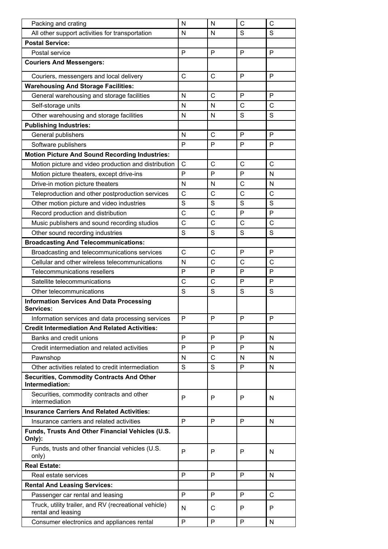| Packing and crating                                                         | N              | N              | C              | C              |
|-----------------------------------------------------------------------------|----------------|----------------|----------------|----------------|
| All other support activities for transportation                             | N              | N              | S              | S              |
| <b>Postal Service:</b>                                                      |                |                |                |                |
| Postal service                                                              | P              | P              | P              | P              |
| <b>Couriers And Messengers:</b>                                             |                |                |                |                |
| Couriers, messengers and local delivery                                     | $\mathsf{C}$   | $\mathsf{C}$   | P              | P              |
| <b>Warehousing And Storage Facilities:</b>                                  |                |                |                |                |
| General warehousing and storage facilities                                  | N              | $\mathsf{C}$   | P              | P              |
| Self-storage units                                                          | N              | N              | $\mathsf{C}$   | $\mathsf{C}$   |
| Other warehousing and storage facilities                                    | N              | N              | S              | S              |
| <b>Publishing Industries:</b>                                               |                |                |                |                |
| General publishers                                                          | N              | $\mathsf{C}$   | P              | P              |
| Software publishers                                                         | P              | P              | P              | P              |
| <b>Motion Picture And Sound Recording Industries:</b>                       |                |                |                |                |
| Motion picture and video production and distribution                        | C              | $\mathsf{C}$   | $\mathsf{C}$   | $\mathsf{C}$   |
| Motion picture theaters, except drive-ins                                   | P              | P              | P              | N              |
| Drive-in motion picture theaters                                            | N              | N              | C              | N              |
| Teleproduction and other postproduction services                            | C              | $\mathsf{C}$   | $\overline{C}$ | $\overline{C}$ |
| Other motion picture and video industries                                   | S              | S              | S              | S              |
| Record production and distribution                                          | $\overline{C}$ | $\overline{C}$ | P              | P              |
| Music publishers and sound recording studios                                | C              | C              | C              | $\mathsf{C}$   |
| Other sound recording industries                                            | S              | S              | S              | $\mathsf{S}$   |
| <b>Broadcasting And Telecommunications:</b>                                 |                |                |                |                |
| Broadcasting and telecommunications services                                | C              | $\mathsf{C}$   | P              | P              |
| Cellular and other wireless telecommunications                              | N              | C              | C              | $\mathsf{C}$   |
| Telecommunications resellers                                                | P              | P              | P              | P              |
| Satellite telecommunications                                                | C              | C              | P              | P              |
| Other telecommunications                                                    | S              | S              | S              | S              |
| <b>Information Services And Data Processing</b>                             |                |                |                |                |
| Services:                                                                   |                |                |                |                |
| Information services and data processing services                           | P              | P              | P              | P              |
| <b>Credit Intermediation And Related Activities:</b>                        |                |                |                |                |
| Banks and credit unions                                                     | P              | P              | P              | N              |
| Credit intermediation and related activities                                | P              | P              | P              | N              |
| Pawnshop                                                                    | N              | C              | N              | N              |
| Other activities related to credit intermediation                           | S              | S              | P              | N              |
| <b>Securities, Commodity Contracts And Other</b><br>Intermediation:         |                |                |                |                |
| Securities, commodity contracts and other<br>intermediation                 | P              | P              | P              | N              |
| <b>Insurance Carriers And Related Activities:</b>                           |                |                |                |                |
| Insurance carriers and related activities                                   | P              | P              | P              | N              |
| Funds, Trusts And Other Financial Vehicles (U.S.<br>Only):                  |                |                |                |                |
| Funds, trusts and other financial vehicles (U.S.<br>only)                   | P              | P              | P              | N              |
| <b>Real Estate:</b>                                                         |                |                |                |                |
| Real estate services                                                        | P              | P              | P              | N              |
| <b>Rental And Leasing Services:</b>                                         |                |                |                |                |
| Passenger car rental and leasing                                            | P              | P              | P              | $\mathsf{C}$   |
| Truck, utility trailer, and RV (recreational vehicle)<br>rental and leasing | N              | C              | P              | P              |
| Consumer electronics and appliances rental                                  | P              | P              | P              | N              |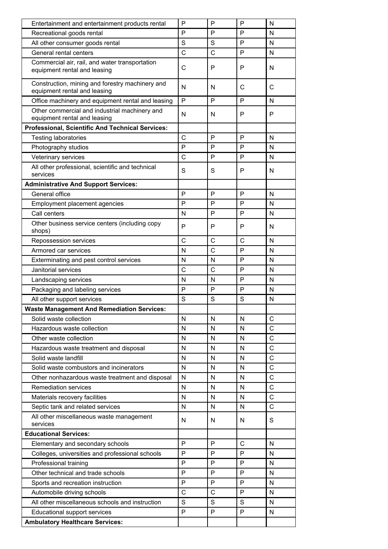| Entertainment and entertainment products rental                                 | $\mathsf{P}$ | P            | P            | N            |
|---------------------------------------------------------------------------------|--------------|--------------|--------------|--------------|
| Recreational goods rental                                                       | P            | P            | P            | N            |
| All other consumer goods rental                                                 | S            | S            | P            | N            |
| General rental centers                                                          | C            | C            | P            | N            |
| Commercial air, rail, and water transportation<br>equipment rental and leasing  | $\mathsf{C}$ | P            | P            | N            |
| Construction, mining and forestry machinery and<br>equipment rental and leasing | N            | N            | C            | C            |
| Office machinery and equipment rental and leasing                               | $\mathsf{P}$ | P            | P            | N            |
| Other commercial and industrial machinery and<br>equipment rental and leasing   | N            | N            | P            | P            |
| <b>Professional, Scientific And Technical Services:</b>                         |              |              |              |              |
| <b>Testing laboratories</b>                                                     | C            | P            | P            | N            |
| Photography studios                                                             | P            | P            | P            | N            |
| Veterinary services                                                             | C            | P            | P            | N            |
| All other professional, scientific and technical<br>services                    | S            | S            | P            | N            |
| <b>Administrative And Support Services:</b>                                     |              |              |              |              |
| General office                                                                  | P            | P            | P            | N            |
| Employment placement agencies                                                   | P            | P            | P            | N            |
| Call centers                                                                    | N            | P            | P            | N            |
| Other business service centers (including copy<br>shops)                        | P            | P            | P            | N            |
| Repossession services                                                           | $\mathsf{C}$ | C            | C            | N            |
| Armored car services                                                            | N            | C            | P            | N            |
| Exterminating and pest control services                                         | N            | N            | P            | N            |
| Janitorial services                                                             | C            | C            | P            | N            |
| Landscaping services                                                            | N            | N            | P            | N            |
| Packaging and labeling services                                                 | P            | P            | P            | N            |
| All other support services                                                      | S            | S            | S            | N            |
| <b>Waste Management And Remediation Services:</b>                               |              |              |              |              |
| Solid waste collection                                                          | N            | N            | N            | C            |
| Hazardous waste collection                                                      | N            | N            | N            | $\mathsf{C}$ |
| Other waste collection                                                          | $\mathsf{N}$ | $\mathsf{N}$ | $\mathsf{N}$ | $\mathsf{C}$ |
| Hazardous waste treatment and disposal                                          | N            | N            | N            | $\mathsf{C}$ |
| Solid waste landfill                                                            | $\mathsf{N}$ | $\mathsf{N}$ | N            | $\mathsf{C}$ |
| Solid waste combustors and incinerators                                         | N            | N            | N            | $\mathsf{C}$ |
| Other nonhazardous waste treatment and disposal                                 | $\mathsf{N}$ | N            | $\mathsf{N}$ | $\mathsf{C}$ |
| <b>Remediation services</b>                                                     | N            | N            | N            | $\mathsf{C}$ |
| Materials recovery facilities                                                   | $\mathsf{N}$ | $\mathsf{N}$ | $\mathsf{N}$ | $\mathsf{C}$ |
| Septic tank and related services                                                | N            | N            | N            | $\mathsf{C}$ |
| All other miscellaneous waste management<br>services                            | N            | N            | N            | S            |
| <b>Educational Services:</b>                                                    |              |              |              |              |
| Elementary and secondary schools                                                | P            | P            | $\mathsf{C}$ | N            |
| Colleges, universities and professional schools                                 | P            | P            | P            | N            |
| Professional training                                                           | P            | P            | P            | N            |
| Other technical and trade schools                                               | P            | P            | P            | N            |
| Sports and recreation instruction                                               | P            | P            | P            | N            |
| Automobile driving schools                                                      | C            | C            | P            | N            |
| All other miscellaneous schools and instruction                                 | S            | S            | S            | N            |
| Educational support services                                                    | P            | P            | P            | N            |
| <b>Ambulatory Healthcare Services:</b>                                          |              |              |              |              |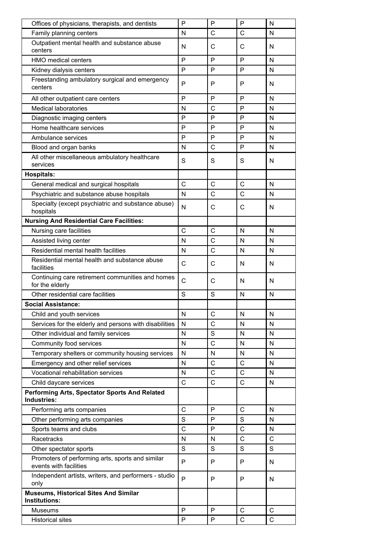| Offices of physicians, therapists, and dentists                            | P              | P | P              | N |
|----------------------------------------------------------------------------|----------------|---|----------------|---|
| Family planning centers                                                    | N              | C | C              | N |
| Outpatient mental health and substance abuse<br>centers                    | N              | C | С              | N |
| <b>HMO</b> medical centers                                                 | P              | P | P              | N |
| Kidney dialysis centers                                                    | P              | P | P              | N |
| Freestanding ambulatory surgical and emergency<br>centers                  | P              | P | P              | N |
| All other outpatient care centers                                          | P              | P | P              | N |
| <b>Medical laboratories</b>                                                | N              | C | P              | N |
| Diagnostic imaging centers                                                 | P              | P | P              | N |
| Home healthcare services                                                   | P              | P | P              | N |
| Ambulance services                                                         | P              | P | P              | N |
| Blood and organ banks                                                      | N              | C | P              | N |
| All other miscellaneous ambulatory healthcare<br>services                  | S              | S | S              | N |
| <b>Hospitals:</b>                                                          |                |   |                |   |
| General medical and surgical hospitals                                     | C              | C | C              | N |
| Psychiatric and substance abuse hospitals                                  | N              | C | $\mathsf{C}$   | N |
| Specialty (except psychiatric and substance abuse)<br>hospitals            | N              | C | C              | N |
| <b>Nursing And Residential Care Facilities:</b>                            |                |   |                |   |
| Nursing care facilities                                                    | C              | C | N              | N |
| Assisted living center                                                     | N              | C | N              | N |
| Residential mental health facilities                                       | N              | C | N              | N |
| Residential mental health and substance abuse<br>facilities                | C              | С | N              | N |
| Continuing care retirement communities and homes<br>for the elderly        | C              | C | N              | N |
| Other residential care facilities                                          | S              | S | N              | N |
| <b>Social Assistance:</b>                                                  |                |   |                |   |
| Child and youth services                                                   | N              | С | N              | N |
| Services for the elderly and persons with disabilities                     | N              | C | N              | N |
| Other individual and family services                                       | N              | S | N              | N |
| Community food services                                                    | N              | C | N              | N |
| Temporary shelters or community housing services                           | N              | N | N              | N |
| Emergency and other relief services                                        | N              | C | C              | N |
| Vocational rehabilitation services                                         | N              | C | C              | N |
| Child daycare services                                                     | $\mathsf C$    | C | $\mathsf C$    | N |
| Performing Arts, Spectator Sports And Related<br>Industries:               |                |   |                |   |
| Performing arts companies                                                  | $\mathsf{C}$   | P | $\mathsf{C}$   | N |
| Other performing arts companies                                            | S              | P | S              | N |
| Sports teams and clubs                                                     | $\overline{C}$ | P | $\overline{C}$ | N |
| Racetracks                                                                 | N              | N | $\mathsf{C}$   | C |
| Other spectator sports                                                     | S              | S | S              | S |
| Promoters of performing arts, sports and similar<br>events with facilities | P              | P | P              | N |
| Independent artists, writers, and performers - studio<br>only              | P              | P | P              | N |
| <b>Museums, Historical Sites And Similar</b><br>Institutions:              |                |   |                |   |
| <b>Museums</b>                                                             | P              | P | $\mathsf C$    | C |
| <b>Historical sites</b>                                                    | P              | P | C              | C |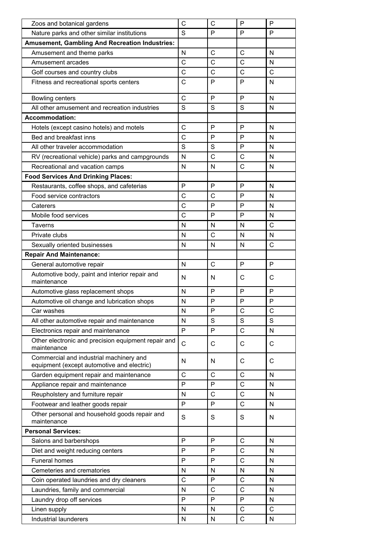| Zoos and botanical gardens                                                            | C            | C            | $\mathsf{P}$ | P            |
|---------------------------------------------------------------------------------------|--------------|--------------|--------------|--------------|
| Nature parks and other similar institutions                                           | S            | P            | P            | P            |
| <b>Amusement, Gambling And Recreation Industries:</b>                                 |              |              |              |              |
| Amusement and theme parks                                                             | N            | C            | C            | N            |
| Amusement arcades                                                                     | C            | C            | C            | N            |
| Golf courses and country clubs                                                        | C            | C            | C            | $\mathsf{C}$ |
| Fitness and recreational sports centers                                               | С            | P            | P            | N            |
|                                                                                       |              |              |              |              |
| <b>Bowling centers</b>                                                                | C            | P            | P            | N            |
| All other amusement and recreation industries                                         | S            | S            | S            | N            |
| <b>Accommodation:</b>                                                                 |              |              |              |              |
| Hotels (except casino hotels) and motels                                              | C            | $\mathsf{P}$ | $\mathsf{P}$ | N            |
| Bed and breakfast inns                                                                | C            | P            | P            | N            |
| All other traveler accommodation                                                      | S            | S            | P            | N            |
| RV (recreational vehicle) parks and campgrounds                                       | N            | C            | $\mathsf{C}$ | N            |
| Recreational and vacation camps                                                       | $\mathsf{N}$ | N            | $\mathsf{C}$ | N            |
| <b>Food Services And Drinking Places:</b>                                             |              |              |              |              |
| Restaurants, coffee shops, and cafeterias                                             | $\mathsf{P}$ | P            | P            | N            |
| Food service contractors                                                              | C            | C            | P            | N            |
| Caterers                                                                              | $\mathsf{C}$ | P            | P            | N            |
| Mobile food services                                                                  | $\mathsf{C}$ | P            | P            | N            |
| <b>Taverns</b>                                                                        | N            | N            | N            | $\mathsf{C}$ |
| Private clubs                                                                         | N            | C            | N            | N            |
| Sexually oriented businesses                                                          | $\mathsf{N}$ | N            | N            | $\mathsf{C}$ |
| <b>Repair And Maintenance:</b>                                                        |              |              |              |              |
| General automotive repair                                                             | $\mathsf{N}$ | C            | P            | P            |
| Automotive body, paint and interior repair and<br>maintenance                         | N            | N            | C            | C            |
| Automotive glass replacement shops                                                    | N            | P            | P            | P            |
| Automotive oil change and lubrication shops                                           | N            | P            | P            | P            |
| Car washes                                                                            | ${\sf N}$    | $\mathsf{P}$ | $\mathsf{C}$ | $\mathsf{C}$ |
| All other automotive repair and maintenance                                           | N            | S            | S            | S            |
| Electronics repair and maintenance                                                    | $\mathsf{P}$ | P            | $\mathsf{C}$ | $\mathsf{N}$ |
| Other electronic and precision equipment repair and<br>maintenance                    | $\mathbf C$  | C            | C            | C            |
| Commercial and industrial machinery and<br>equipment (except automotive and electric) | N            | N            | C            | C            |
| Garden equipment repair and maintenance                                               | $\mathsf{C}$ | $\mathsf C$  | $\mathsf C$  | N            |
| Appliance repair and maintenance                                                      | P            | P            | $\mathsf C$  | N            |
| Reupholstery and furniture repair                                                     | N            | $\mathsf C$  | C            | N            |
| Footwear and leather goods repair                                                     | P            | P            | C            | N            |
| Other personal and household goods repair and<br>maintenance                          | S            | S            | S            | N            |
| <b>Personal Services:</b>                                                             |              |              |              |              |
| Salons and barbershops                                                                | P            | P            | $\mathsf{C}$ | $\mathsf{N}$ |
| Diet and weight reducing centers                                                      | P            | P            | С            | N            |
| Funeral homes                                                                         | P            | P            | $\mathsf C$  | N            |
| Cemeteries and crematories                                                            | N            | N            | N            | N            |
| Coin operated laundries and dry cleaners                                              | $\mathsf{C}$ | P            | С            | N            |
| Laundries, family and commercial                                                      | N            | C            | С            | N            |
| Laundry drop off services                                                             | P            | P            | P            | N            |
| Linen supply                                                                          | N            | N            | $\mathsf{C}$ | $\mathsf{C}$ |
| Industrial launderers                                                                 | ${\sf N}$    | N            | C            | N            |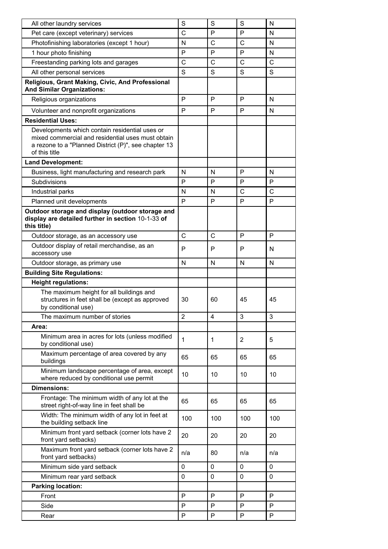| All other laundry services                                                                                                                                                   | S        | S   | S               | N        |
|------------------------------------------------------------------------------------------------------------------------------------------------------------------------------|----------|-----|-----------------|----------|
| Pet care (except veterinary) services                                                                                                                                        | C        | P   | P               | N        |
| Photofinishing laboratories (except 1 hour)                                                                                                                                  | N        | C   | C               | N        |
| 1 hour photo finishing                                                                                                                                                       | P        | P   | P               | N        |
| Freestanding parking lots and garages                                                                                                                                        | C        | C   | C               | C        |
| All other personal services                                                                                                                                                  | S        | S   | S               | S        |
| Religious, Grant Making, Civic, And Professional<br><b>And Similar Organizations:</b>                                                                                        |          |     |                 |          |
| Religious organizations                                                                                                                                                      | P        | P   | P               | N        |
| Volunteer and nonprofit organizations                                                                                                                                        | P        | P   | P               | N        |
| <b>Residential Uses:</b>                                                                                                                                                     |          |     |                 |          |
| Developments which contain residential uses or<br>mixed commercial and residential uses must obtain<br>a rezone to a "Planned District (P)", see chapter 13<br>of this title |          |     |                 |          |
| <b>Land Development:</b>                                                                                                                                                     |          |     |                 |          |
| Business, light manufacturing and research park                                                                                                                              | N        | N   | P               | N        |
| Subdivisions                                                                                                                                                                 | P        | P   | P               | P        |
| Industrial parks                                                                                                                                                             | N        | N   | C               | C        |
| Planned unit developments                                                                                                                                                    | P        | P   | P               | P        |
| Outdoor storage and display (outdoor storage and<br>display are detailed further in section 10-1-33 of<br>this title)                                                        |          |     |                 |          |
| Outdoor storage, as an accessory use                                                                                                                                         | C        | C   | P               | P        |
| Outdoor display of retail merchandise, as an<br>accessory use                                                                                                                | P        | P   | P               | N        |
| Outdoor storage, as primary use                                                                                                                                              | N        | N   | N               | N        |
|                                                                                                                                                                              |          |     |                 |          |
| <b>Building Site Regulations:</b>                                                                                                                                            |          |     |                 |          |
| <b>Height regulations:</b>                                                                                                                                                   |          |     |                 |          |
| The maximum height for all buildings and<br>structures in feet shall be (except as approved<br>by conditional use)                                                           | 30       | 60  | 45              | 45       |
| The maximum number of stories                                                                                                                                                | 2        | 4   | 3               | 3        |
| Area:                                                                                                                                                                        |          |     |                 |          |
| Minimum area in acres for lots (unless modified<br>by conditional use)                                                                                                       | 1        | 1   | 2               | 5        |
| Maximum percentage of area covered by any<br>buildings                                                                                                                       | 65       | 65  | 65              | 65       |
| Minimum landscape percentage of area, except<br>where reduced by conditional use permit                                                                                      | 10       | 10  | 10 <sup>1</sup> | 10       |
| <b>Dimensions:</b>                                                                                                                                                           |          |     |                 |          |
| Frontage: The minimum width of any lot at the<br>street right-of-way line in feet shall be                                                                                   | 65       | 65  | 65              | 65       |
| Width: The minimum width of any lot in feet at<br>the building setback line                                                                                                  | 100      | 100 | 100             | 100      |
| Minimum front yard setback (corner lots have 2<br>front yard setbacks)                                                                                                       | 20       | 20  | 20              | 20       |
| Maximum front yard setback (corner lots have 2<br>front yard setbacks)                                                                                                       | n/a      | 80  | n/a             | n/a      |
| Minimum side yard setback                                                                                                                                                    | $\Omega$ | 0   | $\Omega$        | $\Omega$ |
| Minimum rear yard setback                                                                                                                                                    | 0        | 0   | 0               | 0        |
| <b>Parking location:</b>                                                                                                                                                     |          |     |                 |          |
| Front                                                                                                                                                                        | P        | P   | P               | P        |
| Side                                                                                                                                                                         | P        | P   | P               | P        |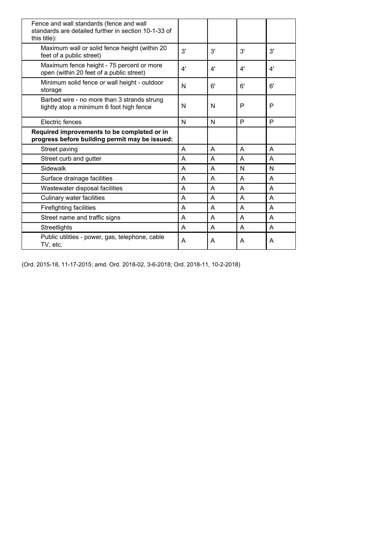| Fence and wall standards (fence and wall<br>standards are detailed further in section 10-1-33 of<br>this title): |              |    |    |    |
|------------------------------------------------------------------------------------------------------------------|--------------|----|----|----|
| Maximum wall or solid fence height (within 20<br>feet of a public street)                                        | 3'           | 3' | 3' | 3' |
| Maximum fence height - 75 percent or more<br>open (within 20 feet of a public street)                            | 4'           | 4' | 4' | 4' |
| Minimum solid fence or wall height - outdoor<br>storage                                                          | N            | 6' | 6' | 6' |
| Barbed wire - no more than 3 strands strung<br>tightly atop a minimum 6 foot high fence                          | N            | N  | P  | P  |
| Electric fences                                                                                                  | $\mathsf{N}$ | N  | P  | P  |
| Required improvements to be completed or in<br>progress before building permit may be issued:                    |              |    |    |    |
| Street paving                                                                                                    | A            | A  | A  | A  |
| Street curb and gutter                                                                                           | A            | A  | A  | A  |
| Sidewalk                                                                                                         | A            | A  | N  | N  |
| Surface drainage facilities                                                                                      | A            | A  | A  | A  |
| Wastewater disposal facilities                                                                                   | A            | A  | A  | A  |
| Culinary water facilities                                                                                        | A            | A  | A  | A  |
| <b>Firefighting facilities</b>                                                                                   | A            | A  | A  | A  |
| Street name and traffic signs                                                                                    | A            | A  | A  | A  |
| Streetlights                                                                                                     | A            | A  | A  | A  |
| Public utilities - power, gas, telephone, cable<br>TV, etc.                                                      | A            | A  | A  | A  |

(Ord. 2015-18, 11-17-2015; amd. Ord. 2018-02, 3-6-2018; Ord. 2018-11, 10-2-2018)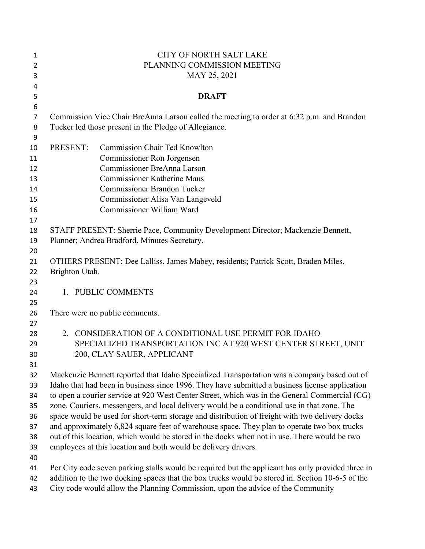| $\mathbf{1}$   |                | <b>CITY OF NORTH SALT LAKE</b>                                                                    |
|----------------|----------------|---------------------------------------------------------------------------------------------------|
| $\overline{2}$ |                | PLANNING COMMISSION MEETING                                                                       |
| 3              |                | MAY 25, 2021                                                                                      |
| 4              |                |                                                                                                   |
| 5              |                | <b>DRAFT</b>                                                                                      |
| 6              |                |                                                                                                   |
| $\overline{7}$ |                | Commission Vice Chair BreAnna Larson called the meeting to order at 6:32 p.m. and Brandon         |
| 8              |                | Tucker led those present in the Pledge of Allegiance.                                             |
| 9              |                |                                                                                                   |
| 10             | PRESENT:       | <b>Commission Chair Ted Knowlton</b>                                                              |
| 11             |                | Commissioner Ron Jorgensen                                                                        |
| 12             |                | Commissioner BreAnna Larson                                                                       |
| 13             |                | <b>Commissioner Katherine Maus</b>                                                                |
| 14             |                | <b>Commissioner Brandon Tucker</b>                                                                |
| 15             |                | Commissioner Alisa Van Langeveld                                                                  |
| 16             |                | Commissioner William Ward                                                                         |
| 17             |                |                                                                                                   |
| 18             |                | STAFF PRESENT: Sherrie Pace, Community Development Director; Mackenzie Bennett,                   |
| 19             |                | Planner; Andrea Bradford, Minutes Secretary.                                                      |
| 20             |                |                                                                                                   |
| 21             |                | OTHERS PRESENT: Dee Lalliss, James Mabey, residents; Patrick Scott, Braden Miles,                 |
| 22             | Brighton Utah. |                                                                                                   |
| 23             |                |                                                                                                   |
| 24             |                | 1. PUBLIC COMMENTS                                                                                |
| 25             |                |                                                                                                   |
| 26             |                | There were no public comments.                                                                    |
| 27             |                |                                                                                                   |
| 28             |                | 2. CONSIDERATION OF A CONDITIONAL USE PERMIT FOR IDAHO                                            |
| 29             |                | SPECIALIZED TRANSPORTATION INC AT 920 WEST CENTER STREET, UNIT                                    |
| 30             |                | 200, CLAY SAUER, APPLICANT                                                                        |
| 31             |                |                                                                                                   |
| 32             |                | Mackenzie Bennett reported that Idaho Specialized Transportation was a company based out of       |
| 33             |                | Idaho that had been in business since 1996. They have submitted a business license application    |
| 34             |                | to open a courier service at 920 West Center Street, which was in the General Commercial (CG)     |
| 35             |                | zone. Couriers, messengers, and local delivery would be a conditional use in that zone. The       |
| 36             |                | space would be used for short-term storage and distribution of freight with two delivery docks    |
| 37             |                | and approximately 6,824 square feet of warehouse space. They plan to operate two box trucks       |
| 38             |                | out of this location, which would be stored in the docks when not in use. There would be two      |
| 39             |                | employees at this location and both would be delivery drivers.                                    |
| 40             |                |                                                                                                   |
| 41             |                | Per City code seven parking stalls would be required but the applicant has only provided three in |
| 42             |                | addition to the two docking spaces that the box trucks would be stored in. Section 10-6-5 of the  |
| 43             |                | City code would allow the Planning Commission, upon the advice of the Community                   |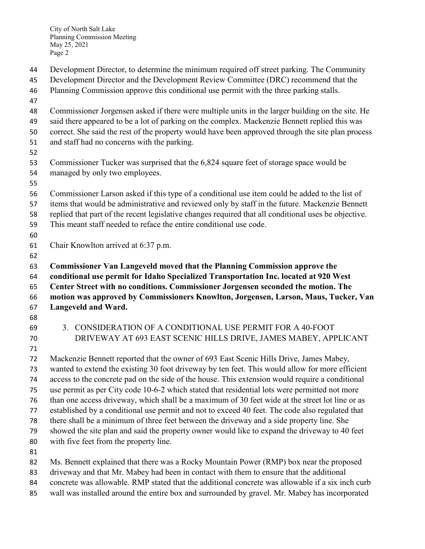City of North Salt Lake Planning Commission Meeting May 25, 2021 Page 2

- Development Director, to determine the minimum required off street parking. The Community
- Development Director and the Development Review Committee (DRC) recommend that the
- Planning Commission approve this conditional use permit with the three parking stalls.
- 
- Commissioner Jorgensen asked if there were multiple units in the larger building on the site. He
- said there appeared to be a lot of parking on the complex. Mackenzie Bennett replied this was
- correct. She said the rest of the property would have been approved through the site plan process
- and staff had no concerns with the parking.
- 
- Commissioner Tucker was surprised that the 6,824 square feet of storage space would be managed by only two employees.
- 
- Commissioner Larson asked if this type of a conditional use item could be added to the list of
- items that would be administrative and reviewed only by staff in the future. Mackenzie Bennett
- replied that part of the recent legislative changes required that all conditional uses be objective.
- This meant staff needed to reface the entire conditional use code.
- 
- Chair Knowlton arrived at 6:37 p.m.
- 

 **Commissioner Van Langeveld moved that the Planning Commission approve the conditional use permit for Idaho Specialized Transportation Inc. located at 920 West** 

- **Center Street with no conditions. Commissioner Jorgensen seconded the motion. The motion was approved by Commissioners Knowlton, Jorgensen, Larson, Maus, Tucker, Van Langeveld and Ward.**
- 
- 
- 
- 3. CONSIDERATION OF A CONDITIONAL USE PERMIT FOR A 40-FOOT DRIVEWAY AT 693 EAST SCENIC HILLS DRIVE, JAMES MABEY, APPLICANT
- 

 Mackenzie Bennett reported that the owner of 693 East Scenic Hills Drive, James Mabey, wanted to extend the existing 30 foot driveway by ten feet. This would allow for more efficient access to the concrete pad on the side of the house. This extension would require a conditional use permit as per City code 10-6-2 which stated that residential lots were permitted not more than one access driveway, which shall be a maximum of 30 feet wide at the street lot line or as established by a conditional use permit and not to exceed 40 feet. The code also regulated that there shall be a minimum of three feet between the driveway and a side property line. She showed the site plan and said the property owner would like to expand the driveway to 40 feet with five feet from the property line. 

Ms. Bennett explained that there was a Rocky Mountain Power (RMP) box near the proposed

- driveway and that Mr. Mabey had been in contact with them to ensure that the additional
- concrete was allowable. RMP stated that the additional concrete was allowable if a six inch curb
- wall was installed around the entire box and surrounded by gravel. Mr. Mabey has incorporated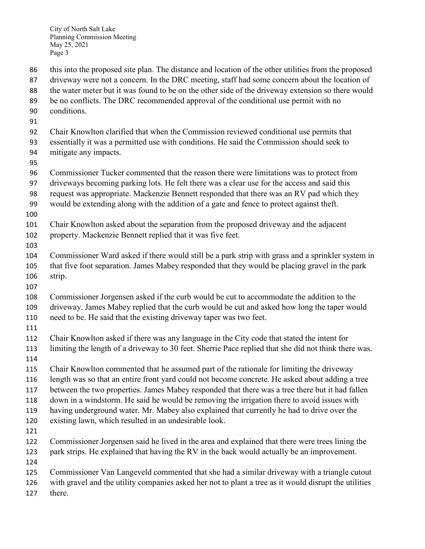City of North Salt Lake Planning Commission Meeting May 25, 2021 Page 3

 this into the proposed site plan. The distance and location of the other utilities from the proposed 87 driveway were not a concern. In the DRC meeting, staff had some concern about the location of the water meter but it was found to be on the other side of the driveway extension so there would be no conflicts. The DRC recommended approval of the conditional use permit with no conditions. Chair Knowlton clarified that when the Commission reviewed conditional use permits that essentially it was a permitted use with conditions. He said the Commission should seek to mitigate any impacts. Commissioner Tucker commented that the reason there were limitations was to protect from driveways becoming parking lots. He felt there was a clear use for the access and said this request was appropriate. Mackenzie Bennett responded that there was an RV pad which they would be extending along with the addition of a gate and fence to protect against theft. Chair Knowlton asked about the separation from the proposed driveway and the adjacent property. Mackenzie Bennett replied that it was five feet. Commissioner Ward asked if there would still be a park strip with grass and a sprinkler system in that five foot separation. James Mabey responded that they would be placing gravel in the park strip. Commissioner Jorgensen asked if the curb would be cut to accommodate the addition to the driveway. James Mabey replied that the curb would be cut and asked how long the taper would need to be. He said that the existing driveway taper was two feet. Chair Knowlton asked if there was any language in the City code that stated the intent for limiting the length of a driveway to 30 feet. Sherrie Pace replied that she did not think there was. Chair Knowlton commented that he assumed part of the rationale for limiting the driveway length was so that an entire front yard could not become concrete. He asked about adding a tree between the two properties. James Mabey responded that there was a tree there but it had fallen down in a windstorm. He said he would be removing the irrigation there to avoid issues with having underground water. Mr. Mabey also explained that currently he had to drive over the existing lawn, which resulted in an undesirable look. Commissioner Jorgensen said he lived in the area and explained that there were trees lining the park strips. He explained that having the RV in the back would actually be an improvement. Commissioner Van Langeveld commented that she had a similar driveway with a triangle cutout with gravel and the utility companies asked her not to plant a tree as it would disrupt the utilities there.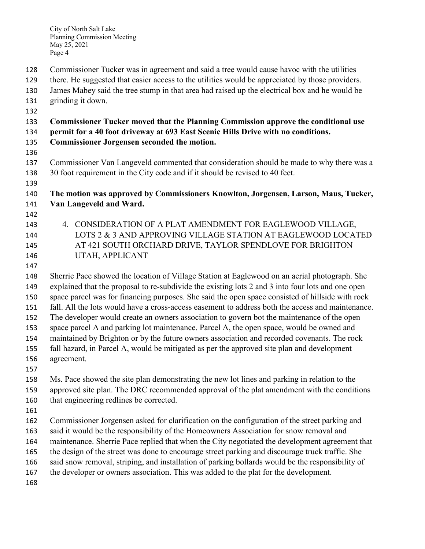- Commissioner Tucker was in agreement and said a tree would cause havoc with the utilities
- there. He suggested that easier access to the utilities would be appreciated by those providers.
- James Mabey said the tree stump in that area had raised up the electrical box and he would be
- grinding it down.
- 

## **Commissioner Tucker moved that the Planning Commission approve the conditional use**

- **permit for a 40 foot driveway at 693 East Scenic Hills Drive with no conditions.**
- **Commissioner Jorgensen seconded the motion.**
- 
- Commissioner Van Langeveld commented that consideration should be made to why there was a 30 foot requirement in the City code and if it should be revised to 40 feet.
- 

## **The motion was approved by Commissioners Knowlton, Jorgensen, Larson, Maus, Tucker, Van Langeveld and Ward.**

- 
- 4. CONSIDERATION OF A PLAT AMENDMENT FOR EAGLEWOOD VILLAGE, LOTS 2 & 3 AND APPROVING VILLAGE STATION AT EAGLEWOOD LOCATED AT 421 SOUTH ORCHARD DRIVE, TAYLOR SPENDLOVE FOR BRIGHTON UTAH, APPLICANT
- 

 Sherrie Pace showed the location of Village Station at Eaglewood on an aerial photograph. She explained that the proposal to re-subdivide the existing lots 2 and 3 into four lots and one open space parcel was for financing purposes. She said the open space consisted of hillside with rock fall. All the lots would have a cross-access easement to address both the access and maintenance. The developer would create an owners association to govern bot the maintenance of the open space parcel A and parking lot maintenance. Parcel A, the open space, would be owned and maintained by Brighton or by the future owners association and recorded covenants. The rock fall hazard, in Parcel A, would be mitigated as per the approved site plan and development agreement. 

 Ms. Pace showed the site plan demonstrating the new lot lines and parking in relation to the approved site plan. The DRC recommended approval of the plat amendment with the conditions that engineering redlines be corrected.

 Commissioner Jorgensen asked for clarification on the configuration of the street parking and said it would be the responsibility of the Homeowners Association for snow removal and maintenance. Sherrie Pace replied that when the City negotiated the development agreement that

the design of the street was done to encourage street parking and discourage truck traffic. She

- said snow removal, striping, and installation of parking bollards would be the responsibility of
- the developer or owners association. This was added to the plat for the development.
-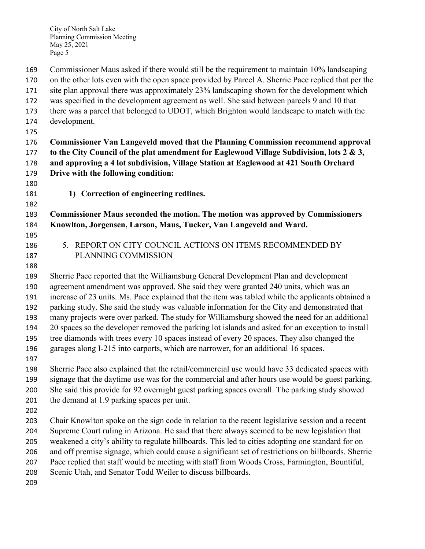City of North Salt Lake Planning Commission Meeting May 25, 2021 Page 5

Commissioner Maus asked if there would still be the requirement to maintain 10% landscaping

on the other lots even with the open space provided by Parcel A. Sherrie Pace replied that per the

site plan approval there was approximately 23% landscaping shown for the development which

was specified in the development agreement as well. She said between parcels 9 and 10 that

there was a parcel that belonged to UDOT, which Brighton would landscape to match with the

- development.
- 

 **Commissioner Van Langeveld moved that the Planning Commission recommend approval to the City Council of the plat amendment for Eaglewood Village Subdivision, lots 2 & 3, and approving a 4 lot subdivision, Village Station at Eaglewood at 421 South Orchard Drive with the following condition:**

- 
- **1) Correction of engineering redlines.**

 **Commissioner Maus seconded the motion. The motion was approved by Commissioners Knowlton, Jorgensen, Larson, Maus, Tucker, Van Langeveld and Ward.**

- 
- 
- 

 5. REPORT ON CITY COUNCIL ACTIONS ON ITEMS RECOMMENDED BY PLANNING COMMISSION

 Sherrie Pace reported that the Williamsburg General Development Plan and development agreement amendment was approved. She said they were granted 240 units, which was an increase of 23 units. Ms. Pace explained that the item was tabled while the applicants obtained a parking study. She said the study was valuable information for the City and demonstrated that many projects were over parked. The study for Williamsburg showed the need for an additional 20 spaces so the developer removed the parking lot islands and asked for an exception to install tree diamonds with trees every 10 spaces instead of every 20 spaces. They also changed the garages along I-215 into carports, which are narrower, for an additional 16 spaces. 

 Sherrie Pace also explained that the retail/commercial use would have 33 dedicated spaces with signage that the daytime use was for the commercial and after hours use would be guest parking. She said this provide for 92 overnight guest parking spaces overall. The parking study showed the demand at 1.9 parking spaces per unit.

 Chair Knowlton spoke on the sign code in relation to the recent legislative session and a recent Supreme Court ruling in Arizona. He said that there always seemed to be new legislation that weakened a city's ability to regulate billboards. This led to cities adopting one standard for on and off premise signage, which could cause a significant set of restrictions on billboards. Sherrie Pace replied that staff would be meeting with staff from Woods Cross, Farmington, Bountiful,

Scenic Utah, and Senator Todd Weiler to discuss billboards.